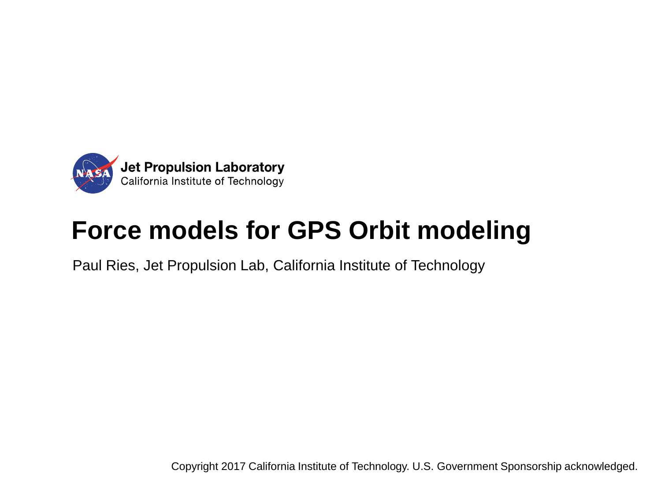

# **Force models for GPS Orbit modeling**

Paul Ries, Jet Propulsion Lab, California Institute of Technology

Copyright 2017 California Institute of Technology. U.S. Government Sponsorship acknowledged.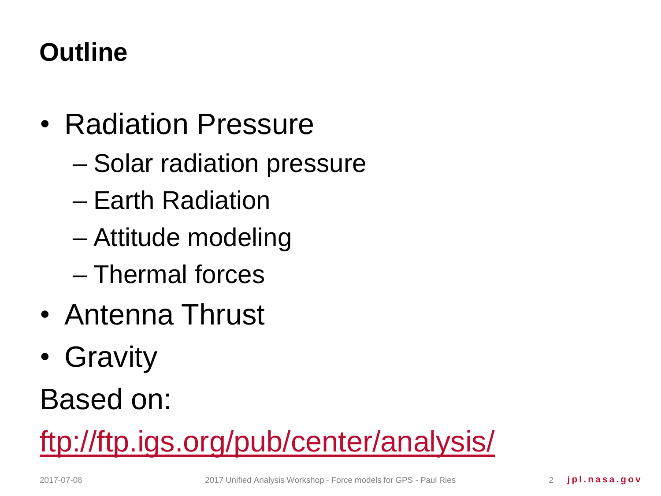# **Outline**

- Radiation Pressure
	- Solar radiation pressure
	- Earth Radiation
	- Attitude modeling
	- Thermal forces
- Antenna Thrust
- Gravity

Based on:

<ftp://ftp.igs.org/pub/center/analysis/>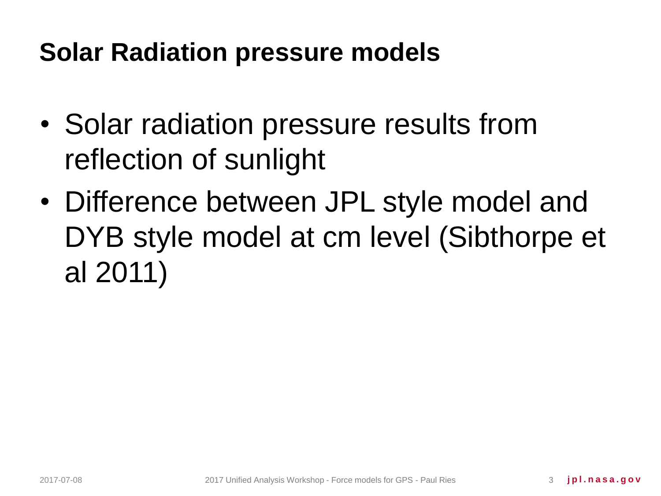#### **Solar Radiation pressure models**

- Solar radiation pressure results from reflection of sunlight
- Difference between JPL style model and DYB style model at cm level (Sibthorpe et al 2011)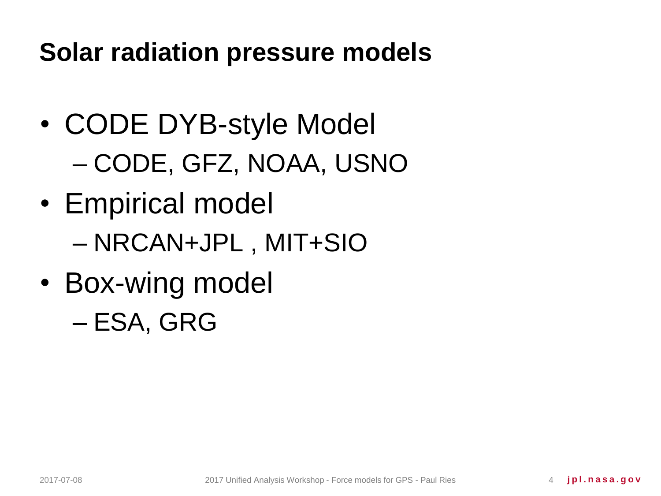**Solar radiation pressure models**

- CODE DYB-style Model – CODE, GFZ, NOAA, USNO
- Empirical model – NRCAN+JPL , MIT+SIO
- Box-wing model – ESA, GRG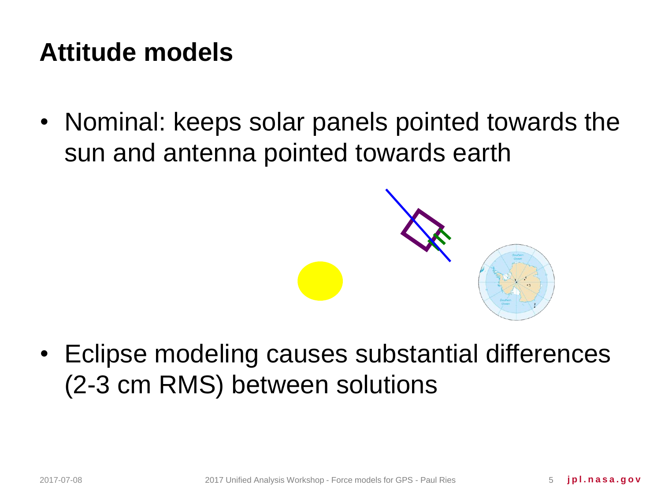#### **Attitude models**

• Nominal: keeps solar panels pointed towards the sun and antenna pointed towards earth



• Eclipse modeling causes substantial differences (2-3 cm RMS) between solutions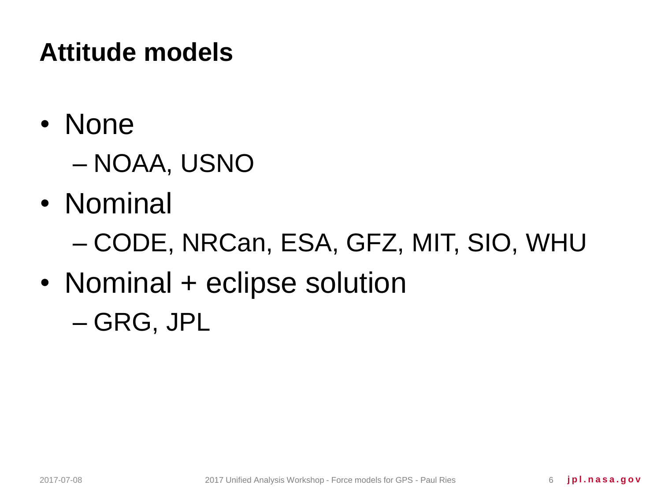# **Attitude models**

- None
	- NOAA, USNO
- Nominal
	- CODE, NRCan, ESA, GFZ, MIT, SIO, WHU
- Nominal + eclipse solution – GRG, JPL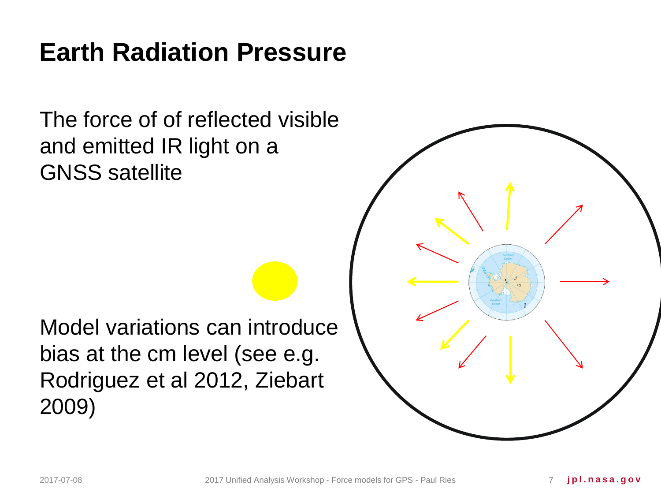#### **Earth Radiation Pressure**

The force of of reflected visible and emitted IR light on a GNSS satellite

Model variations can introduce bias at the cm level (see e.g. Rodriguez et al 2012, Ziebart 2009)

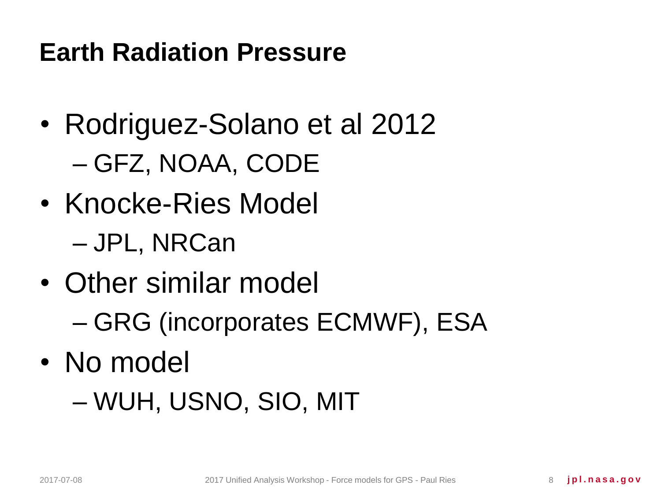#### **Earth Radiation Pressure**

- Rodriguez-Solano et al 2012 – GFZ, NOAA, CODE
- Knocke-Ries Model – JPL, NRCan
- Other similar model – GRG (incorporates ECMWF), ESA
- No model

– WUH, USNO, SIO, MIT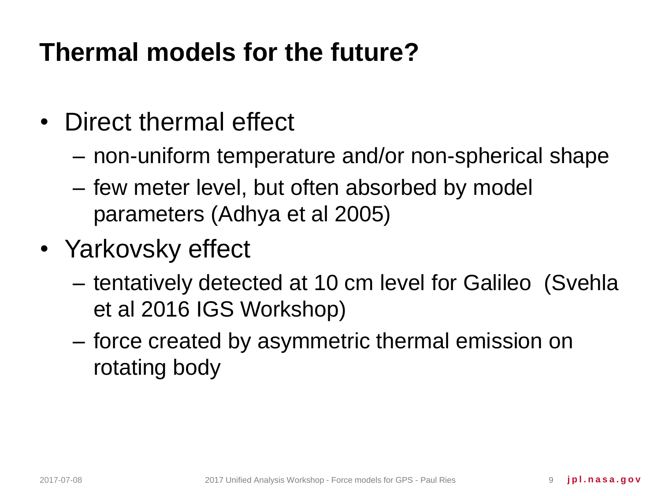# **Thermal models for the future?**

- Direct thermal effect
	- non-uniform temperature and/or non-spherical shape
	- few meter level, but often absorbed by model parameters (Adhya et al 2005)
- Yarkovsky effect
	- tentatively detected at 10 cm level for Galileo (Svehla et al 2016 IGS Workshop)
	- force created by asymmetric thermal emission on rotating body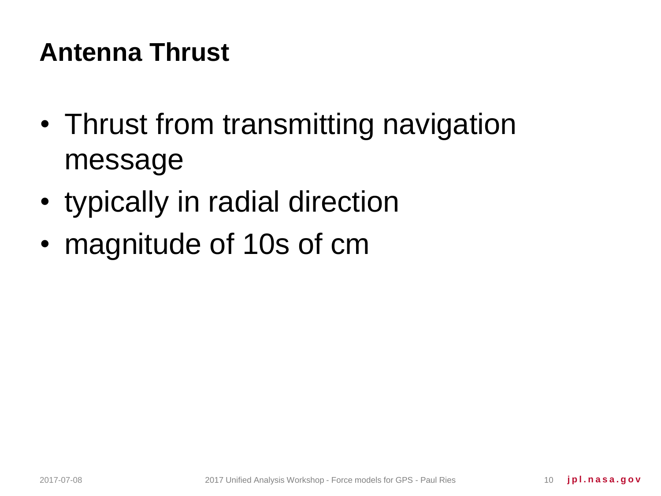# **Antenna Thrust**

- Thrust from transmitting navigation message
- typically in radial direction
- magnitude of 10s of cm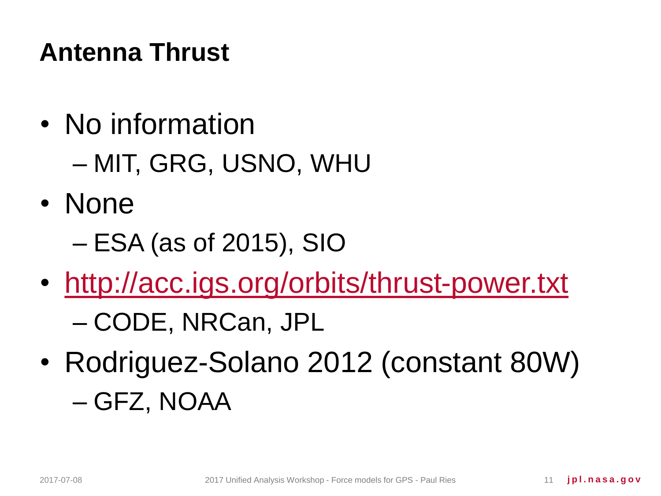# **Antenna Thrust**

- No information – MIT, GRG, USNO, WHU
- None
	- ESA (as of 2015), SIO
- <http://acc.igs.org/orbits/thrust-power.txt> – CODE, NRCan, JPL
- Rodriguez-Solano 2012 (constant 80W) – GFZ, NOAA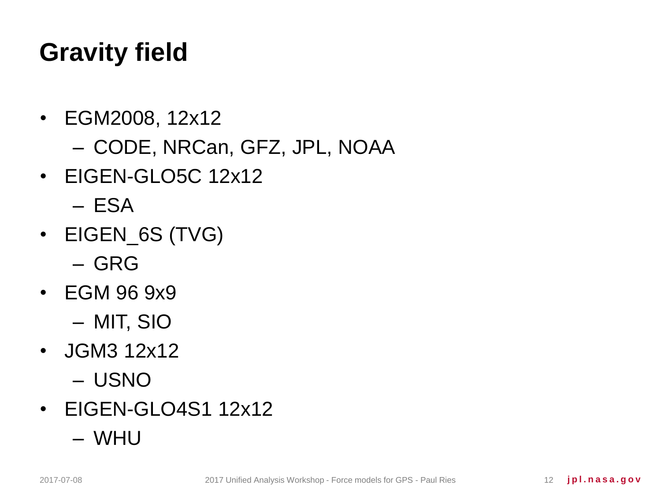# **Gravity field**

- EGM2008, 12x12 – CODE, NRCan, GFZ, JPL, NOAA
- EIGEN-GLO5C 12x12
	- ESA
- EIGEN\_6S (TVG)
	- GRG
- EGM 96 9x9
	- MIT, SIO
- JGM3 12x12
	- USNO
- EIGEN-GLO4S1 12x12
	- WHU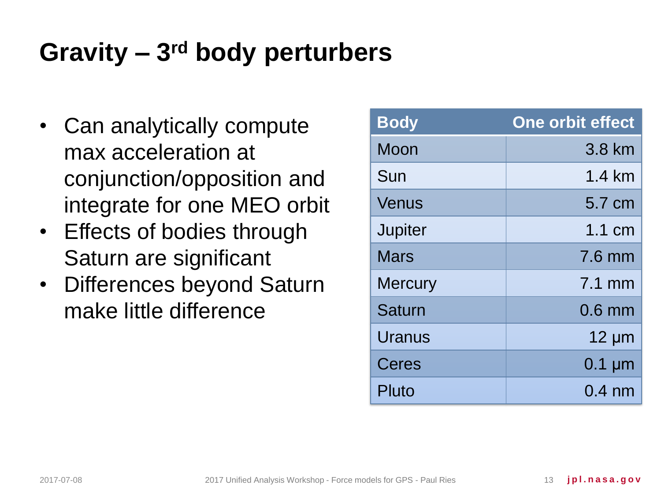# Gravity – 3<sup>rd</sup> body perturbers

- Can analytically compute max acceleration at conjunction/opposition and integrate for one MEO orbit
- Effects of bodies through Saturn are significant
- Differences beyond Saturn make little difference

| <b>Body</b>    | <b>One orbit effect</b> |
|----------------|-------------------------|
| Moon           | 3.8 km                  |
| Sun            | 1.4 km                  |
| Venus          | 5.7 cm                  |
| <b>Jupiter</b> | $1.1 \text{ cm}$        |
| <b>Mars</b>    | 7.6 mm                  |
| <b>Mercury</b> | $7.1$ mm                |
| <b>Saturn</b>  | $0.6$ mm                |
| Uranus         | $12 \mu m$              |
| Ceres          | $0.1 \mu m$             |
| Pluto          | $0.4 \text{ nm}$        |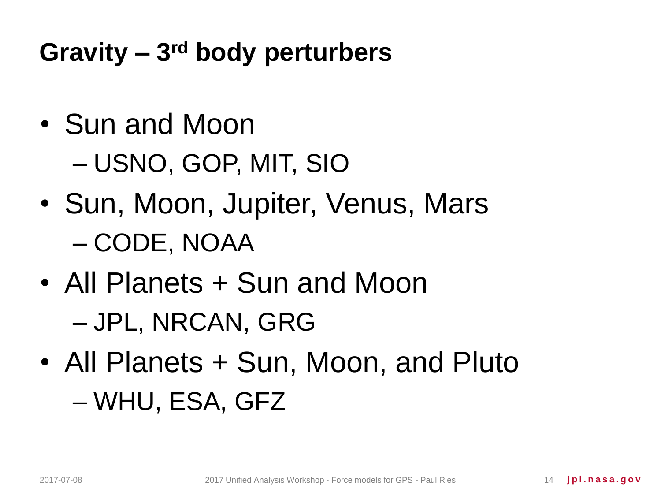Gravity – 3<sup>rd</sup> body perturbers

- Sun and Moon – USNO, GOP, MIT, SIO
- Sun, Moon, Jupiter, Venus, Mars – CODE, NOAA
- All Planets + Sun and Moon – JPL, NRCAN, GRG
- All Planets + Sun, Moon, and Pluto – WHU, ESA, GFZ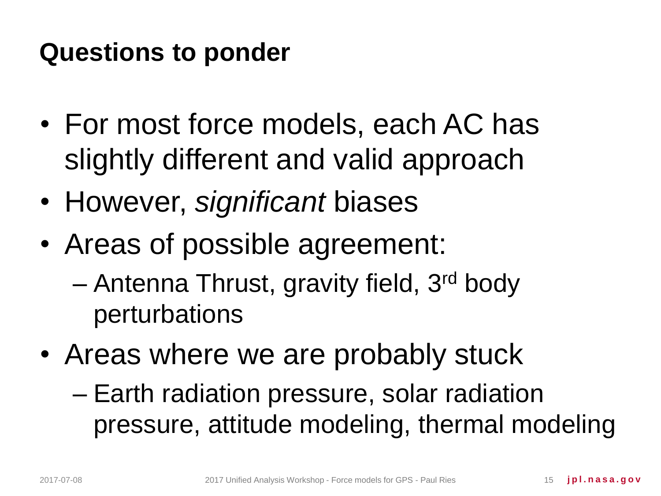#### **Questions to ponder**

- For most force models, each AC has slightly different and valid approach
- However, *significant* biases
- Areas of possible agreement:
	- Antenna Thrust, gravity field, 3rd body perturbations
- Areas where we are probably stuck
	- Earth radiation pressure, solar radiation pressure, attitude modeling, thermal modeling